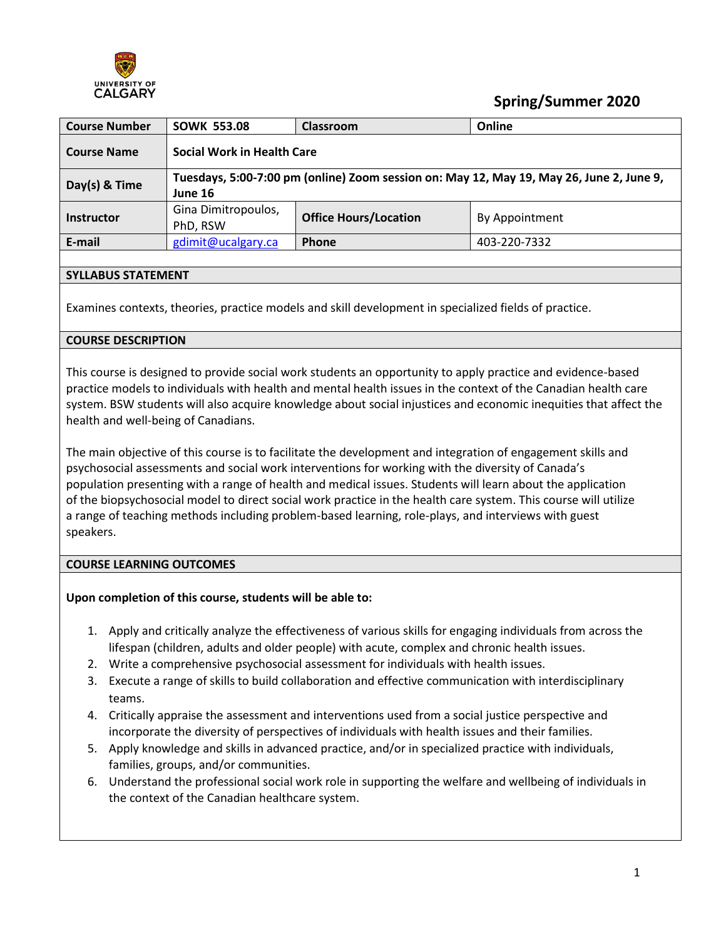

# **Spring/Summer 2020**

| <b>Course Number</b> | Online<br><b>SOWK 553.08</b><br>Classroom                                                           |                                                |              |  |  |
|----------------------|-----------------------------------------------------------------------------------------------------|------------------------------------------------|--------------|--|--|
| <b>Course Name</b>   | <b>Social Work in Health Care</b>                                                                   |                                                |              |  |  |
| $Day(s)$ & Time      | Tuesdays, 5:00-7:00 pm (online) Zoom session on: May 12, May 19, May 26, June 2, June 9,<br>June 16 |                                                |              |  |  |
| <b>Instructor</b>    | Gina Dimitropoulos,<br>PhD, RSW                                                                     | <b>Office Hours/Location</b><br>By Appointment |              |  |  |
| E-mail               | gdimit@ucalgary.ca                                                                                  | Phone                                          | 403-220-7332 |  |  |

### **SYLLABUS STATEMENT**

Examines contexts, theories, practice models and skill development in specialized fields of practice.

#### **COURSE DESCRIPTION**

This course is designed to provide social work students an opportunity to apply practice and evidence-based practice models to individuals with health and mental health issues in the context of the Canadian health care system. BSW students will also acquire knowledge about social injustices and economic inequities that affect the health and well-being of Canadians.

The main objective of this course is to facilitate the development and integration of engagement skills and psychosocial assessments and social work interventions for working with the diversity of Canada's population presenting with a range of health and medical issues. Students will learn about the application of the biopsychosocial model to direct social work practice in the health care system. This course will utilize a range of teaching methods including problem-based learning, role-plays, and interviews with guest speakers.

#### **COURSE LEARNING OUTCOMES**

#### **Upon completion of this course, students will be able to:**

- 1. Apply and critically analyze the effectiveness of various skills for engaging individuals from across the lifespan (children, adults and older people) with acute, complex and chronic health issues.
- 2. Write a comprehensive psychosocial assessment for individuals with health issues.
- 3. Execute a range of skills to build collaboration and effective communication with interdisciplinary teams.
- 4. Critically appraise the assessment and interventions used from a social justice perspective and incorporate the diversity of perspectives of individuals with health issues and their families.
- 5. Apply knowledge and skills in advanced practice, and/or in specialized practice with individuals, families, groups, and/or communities.
- 6. Understand the professional social work role in supporting the welfare and wellbeing of individuals in the context of the Canadian healthcare system.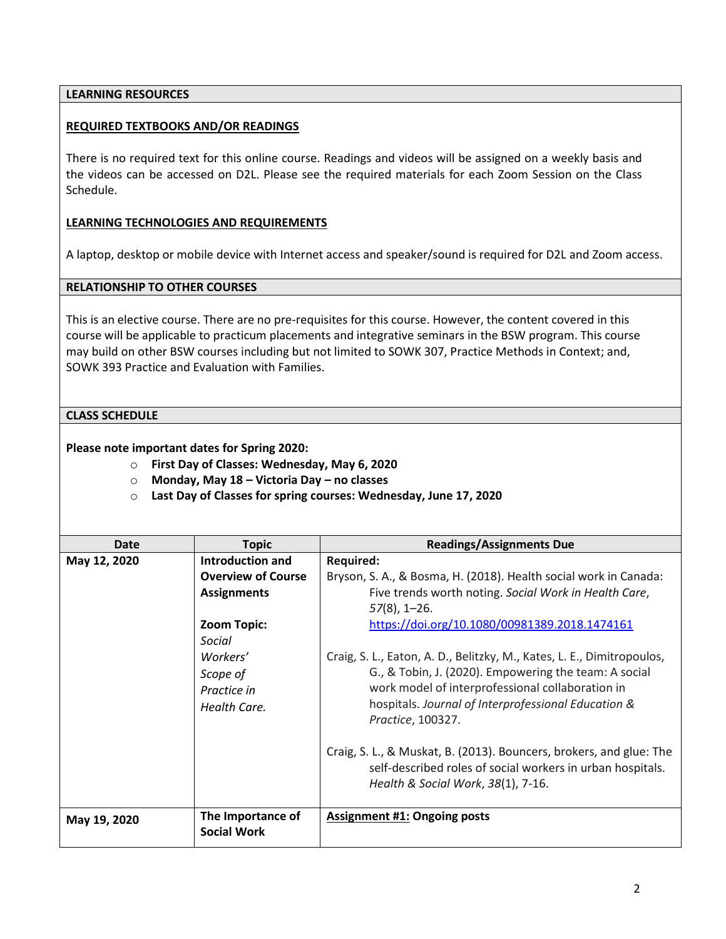#### **LEARNING RESOURCES**

#### **REQUIRED TEXTBOOKS AND/OR READINGS**

There is no required text for this online course. Readings and videos will be assigned on a weekly basis and the videos can be accessed on D2L. Please see the required materials for each Zoom Session on the Class Schedule.

#### **LEARNING TECHNOLOGIES AND REQUIREMENTS**

A laptop, desktop or mobile device with Internet access and speaker/sound is required for D2L and Zoom access.

#### **RELATIONSHIP TO OTHER COURSES**

This is an elective course. There are no pre-requisites for this course. However, the content covered in this course will be applicable to practicum placements and integrative seminars in the BSW program. This course may build on other BSW courses including but not limited to SOWK 307, Practice Methods in Context; and, SOWK 393 Practice and Evaluation with Families.

#### **CLASS SCHEDULE**

**Please note important dates for Spring 2020:**

- o **First Day of Classes: Wednesday, May 6, 2020**
- o **Monday, May 18 – Victoria Day – no classes**
- o **Last Day of Classes for spring courses: Wednesday, June 17, 2020**

| Date         | <b>Topic</b>              | <b>Readings/Assignments Due</b>                                                                                                   |
|--------------|---------------------------|-----------------------------------------------------------------------------------------------------------------------------------|
| May 12, 2020 | <b>Introduction and</b>   | <b>Required:</b>                                                                                                                  |
|              | <b>Overview of Course</b> | Bryson, S. A., & Bosma, H. (2018). Health social work in Canada:                                                                  |
|              | <b>Assignments</b>        | Five trends worth noting. Social Work in Health Care,                                                                             |
|              |                           | $57(8)$ , 1-26.                                                                                                                   |
|              | Zoom Topic:               | https://doi.org/10.1080/00981389.2018.1474161                                                                                     |
|              | Social                    |                                                                                                                                   |
|              | Workers'                  | Craig, S. L., Eaton, A. D., Belitzky, M., Kates, L. E., Dimitropoulos,                                                            |
|              | Scope of                  | G., & Tobin, J. (2020). Empowering the team: A social                                                                             |
|              | Practice in               | work model of interprofessional collaboration in                                                                                  |
|              | Health Care.              | hospitals. Journal of Interprofessional Education &                                                                               |
|              |                           | Practice, 100327.                                                                                                                 |
|              |                           |                                                                                                                                   |
|              |                           | Craig, S. L., & Muskat, B. (2013). Bouncers, brokers, and glue: The<br>self-described roles of social workers in urban hospitals. |
|              |                           |                                                                                                                                   |
|              |                           | Health & Social Work, 38(1), 7-16.                                                                                                |
| May 19, 2020 | The Importance of         | <b>Assignment #1: Ongoing posts</b>                                                                                               |
|              | <b>Social Work</b>        |                                                                                                                                   |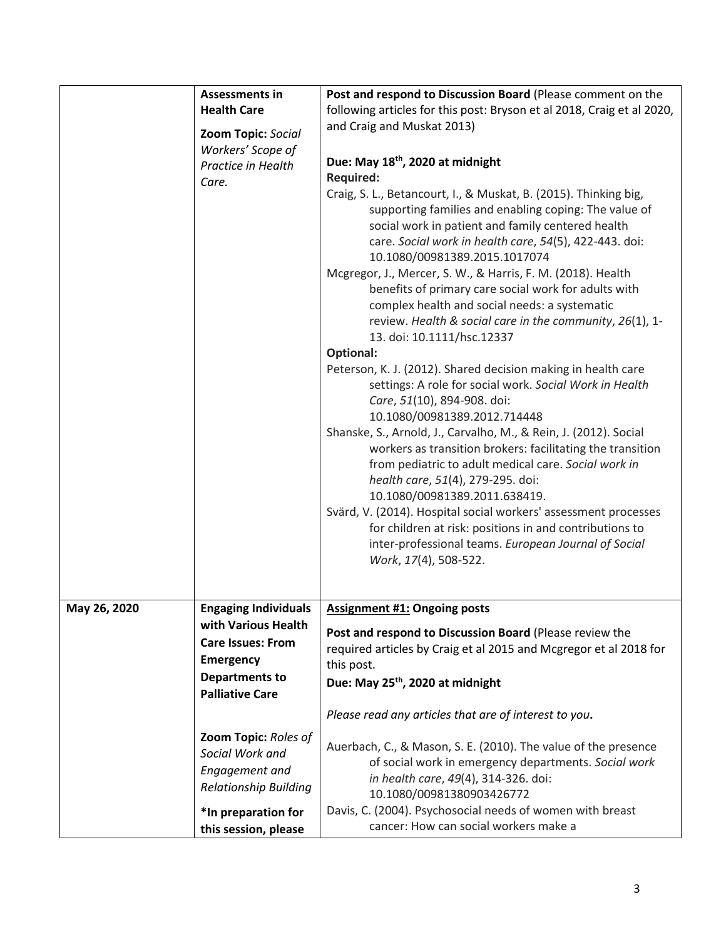|              | <b>Assessments in</b><br><b>Health Care</b><br>Zoom Topic: Social<br>Workers' Scope of<br>Practice in Health<br>Care.                                 | Post and respond to Discussion Board (Please comment on the<br>following articles for this post: Bryson et al 2018, Craig et al 2020,<br>and Craig and Muskat 2013)<br>Due: May 18th, 2020 at midnight<br><b>Required:</b><br>Craig, S. L., Betancourt, I., & Muskat, B. (2015). Thinking big,<br>supporting families and enabling coping: The value of<br>social work in patient and family centered health<br>care. Social work in health care, 54(5), 422-443. doi:<br>10.1080/00981389.2015.1017074<br>Mcgregor, J., Mercer, S. W., & Harris, F. M. (2018). Health<br>benefits of primary care social work for adults with<br>complex health and social needs: a systematic<br>review. Health & social care in the community, 26(1), 1-<br>13. doi: 10.1111/hsc.12337<br>Optional:<br>Peterson, K. J. (2012). Shared decision making in health care<br>settings: A role for social work. Social Work in Health<br>Care, 51(10), 894-908. doi:<br>10.1080/00981389.2012.714448<br>Shanske, S., Arnold, J., Carvalho, M., & Rein, J. (2012). Social<br>workers as transition brokers: facilitating the transition<br>from pediatric to adult medical care. Social work in<br>health care, 51(4), 279-295. doi:<br>10.1080/00981389.2011.638419.<br>Svärd, V. (2014). Hospital social workers' assessment processes<br>for children at risk: positions in and contributions to<br>inter-professional teams. European Journal of Social<br>Work, 17(4), 508-522. |
|--------------|-------------------------------------------------------------------------------------------------------------------------------------------------------|------------------------------------------------------------------------------------------------------------------------------------------------------------------------------------------------------------------------------------------------------------------------------------------------------------------------------------------------------------------------------------------------------------------------------------------------------------------------------------------------------------------------------------------------------------------------------------------------------------------------------------------------------------------------------------------------------------------------------------------------------------------------------------------------------------------------------------------------------------------------------------------------------------------------------------------------------------------------------------------------------------------------------------------------------------------------------------------------------------------------------------------------------------------------------------------------------------------------------------------------------------------------------------------------------------------------------------------------------------------------------------------------------------------------------------------------------------------|
| May 26, 2020 | <b>Engaging Individuals</b><br>with Various Health<br><b>Care Issues: From</b><br><b>Emergency</b><br><b>Departments to</b><br><b>Palliative Care</b> | <b>Assignment #1: Ongoing posts</b><br>Post and respond to Discussion Board (Please review the<br>required articles by Craig et al 2015 and Mcgregor et al 2018 for<br>this post.<br>Due: May 25 <sup>th</sup> , 2020 at midnight<br>Please read any articles that are of interest to you.                                                                                                                                                                                                                                                                                                                                                                                                                                                                                                                                                                                                                                                                                                                                                                                                                                                                                                                                                                                                                                                                                                                                                                       |
|              | Zoom Topic: Roles of<br>Social Work and<br>Engagement and<br><b>Relationship Building</b><br>*In preparation for<br>this session, please              | Auerbach, C., & Mason, S. E. (2010). The value of the presence<br>of social work in emergency departments. Social work<br>in health care, 49(4), 314-326. doi:<br>10.1080/00981380903426772<br>Davis, C. (2004). Psychosocial needs of women with breast<br>cancer: How can social workers make a                                                                                                                                                                                                                                                                                                                                                                                                                                                                                                                                                                                                                                                                                                                                                                                                                                                                                                                                                                                                                                                                                                                                                                |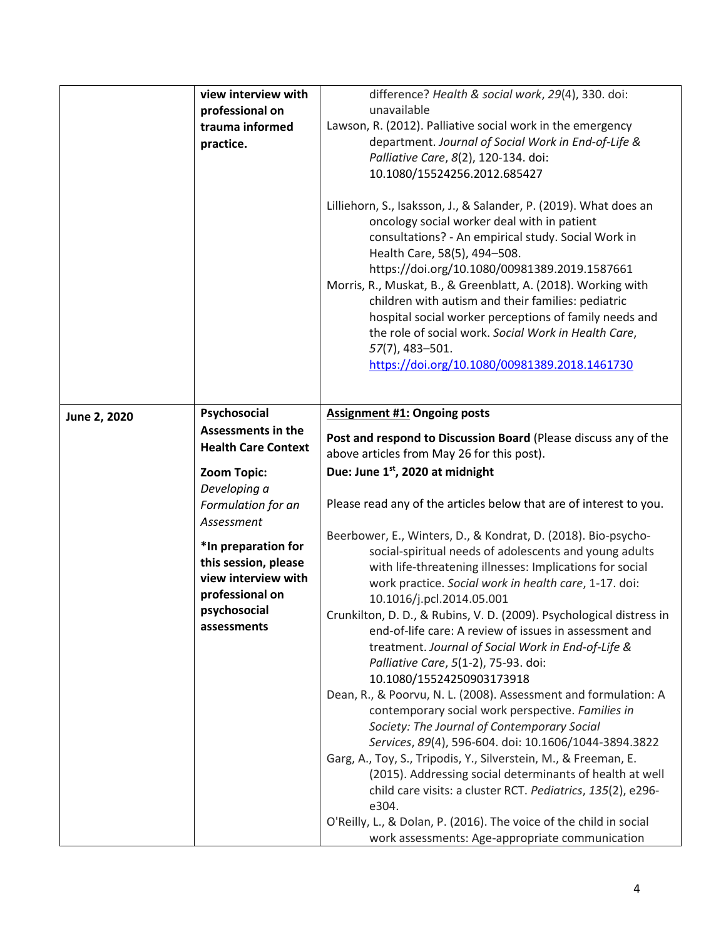|              | view interview with<br>professional on<br>trauma informed<br>practice.                                                                                                                                                                                             | difference? Health & social work, 29(4), 330. doi:<br>unavailable<br>Lawson, R. (2012). Palliative social work in the emergency<br>department. Journal of Social Work in End-of-Life &<br>Palliative Care, 8(2), 120-134. doi:<br>10.1080/15524256.2012.685427<br>Lilliehorn, S., Isaksson, J., & Salander, P. (2019). What does an<br>oncology social worker deal with in patient<br>consultations? - An empirical study. Social Work in<br>Health Care, 58(5), 494-508.<br>https://doi.org/10.1080/00981389.2019.1587661<br>Morris, R., Muskat, B., & Greenblatt, A. (2018). Working with<br>children with autism and their families: pediatric<br>hospital social worker perceptions of family needs and<br>the role of social work. Social Work in Health Care,<br>57(7), 483-501.<br>https://doi.org/10.1080/00981389.2018.1461730                                                                                                                                                                                                                                                                                                                                                                                                                                                                                                                                 |
|--------------|--------------------------------------------------------------------------------------------------------------------------------------------------------------------------------------------------------------------------------------------------------------------|-------------------------------------------------------------------------------------------------------------------------------------------------------------------------------------------------------------------------------------------------------------------------------------------------------------------------------------------------------------------------------------------------------------------------------------------------------------------------------------------------------------------------------------------------------------------------------------------------------------------------------------------------------------------------------------------------------------------------------------------------------------------------------------------------------------------------------------------------------------------------------------------------------------------------------------------------------------------------------------------------------------------------------------------------------------------------------------------------------------------------------------------------------------------------------------------------------------------------------------------------------------------------------------------------------------------------------------------------------------------------|
| June 2, 2020 | Psychosocial<br><b>Assessments in the</b><br><b>Health Care Context</b><br>Zoom Topic:<br>Developing a<br>Formulation for an<br>Assessment<br>*In preparation for<br>this session, please<br>view interview with<br>professional on<br>psychosocial<br>assessments | <b>Assignment #1: Ongoing posts</b><br>Post and respond to Discussion Board (Please discuss any of the<br>above articles from May 26 for this post).<br>Due: June 1st, 2020 at midnight<br>Please read any of the articles below that are of interest to you.<br>Beerbower, E., Winters, D., & Kondrat, D. (2018). Bio-psycho-<br>social-spiritual needs of adolescents and young adults<br>with life-threatening illnesses: Implications for social<br>work practice. Social work in health care, 1-17. doi:<br>10.1016/j.pcl.2014.05.001<br>Crunkilton, D. D., & Rubins, V. D. (2009). Psychological distress in<br>end-of-life care: A review of issues in assessment and<br>treatment. Journal of Social Work in End-of-Life &<br>Palliative Care, 5(1-2), 75-93. doi:<br>10.1080/15524250903173918<br>Dean, R., & Poorvu, N. L. (2008). Assessment and formulation: A<br>contemporary social work perspective. Families in<br>Society: The Journal of Contemporary Social<br>Services, 89(4), 596-604. doi: 10.1606/1044-3894.3822<br>Garg, A., Toy, S., Tripodis, Y., Silverstein, M., & Freeman, E.<br>(2015). Addressing social determinants of health at well<br>child care visits: a cluster RCT. Pediatrics, 135(2), e296-<br>e304.<br>O'Reilly, L., & Dolan, P. (2016). The voice of the child in social<br>work assessments: Age-appropriate communication |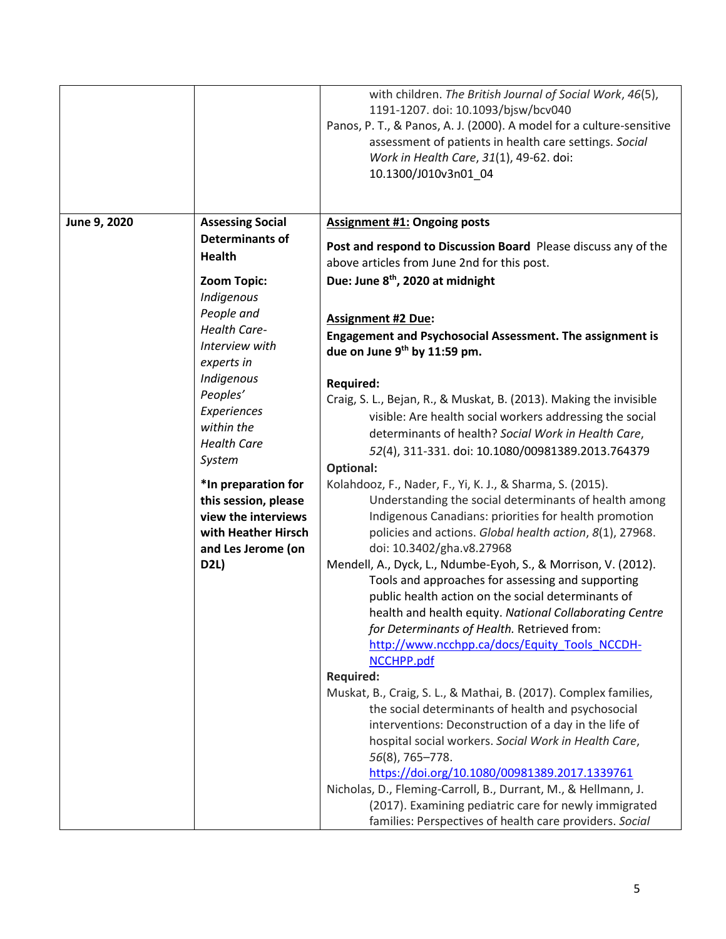|              |                         | with children. The British Journal of Social Work, 46(5),<br>1191-1207. doi: 10.1093/bjsw/bcv040<br>Panos, P. T., & Panos, A. J. (2000). A model for a culture-sensitive<br>assessment of patients in health care settings. Social<br>Work in Health Care, 31(1), 49-62. doi:<br>10.1300/J010v3n01_04 |
|--------------|-------------------------|-------------------------------------------------------------------------------------------------------------------------------------------------------------------------------------------------------------------------------------------------------------------------------------------------------|
|              |                         |                                                                                                                                                                                                                                                                                                       |
| June 9, 2020 | <b>Assessing Social</b> | <b>Assignment #1: Ongoing posts</b>                                                                                                                                                                                                                                                                   |
|              | <b>Determinants of</b>  |                                                                                                                                                                                                                                                                                                       |
|              | <b>Health</b>           | Post and respond to Discussion Board Please discuss any of the<br>above articles from June 2nd for this post.                                                                                                                                                                                         |
|              | Zoom Topic:             | Due: June 8 <sup>th</sup> , 2020 at midnight                                                                                                                                                                                                                                                          |
|              | Indigenous              |                                                                                                                                                                                                                                                                                                       |
|              | People and              |                                                                                                                                                                                                                                                                                                       |
|              | <b>Health Care-</b>     | <b>Assignment #2 Due:</b>                                                                                                                                                                                                                                                                             |
|              | Interview with          | <b>Engagement and Psychosocial Assessment. The assignment is</b>                                                                                                                                                                                                                                      |
|              | experts in              | due on June 9th by 11:59 pm.                                                                                                                                                                                                                                                                          |
|              | Indigenous              |                                                                                                                                                                                                                                                                                                       |
|              | Peoples'                | <b>Required:</b>                                                                                                                                                                                                                                                                                      |
|              | Experiences             | Craig, S. L., Bejan, R., & Muskat, B. (2013). Making the invisible                                                                                                                                                                                                                                    |
|              | within the              | visible: Are health social workers addressing the social                                                                                                                                                                                                                                              |
|              | <b>Health Care</b>      | determinants of health? Social Work in Health Care,                                                                                                                                                                                                                                                   |
|              |                         | 52(4), 311-331. doi: 10.1080/00981389.2013.764379                                                                                                                                                                                                                                                     |
|              | System                  | <b>Optional:</b>                                                                                                                                                                                                                                                                                      |
|              | *In preparation for     | Kolahdooz, F., Nader, F., Yi, K. J., & Sharma, S. (2015).                                                                                                                                                                                                                                             |
|              | this session, please    | Understanding the social determinants of health among                                                                                                                                                                                                                                                 |
|              | view the interviews     | Indigenous Canadians: priorities for health promotion                                                                                                                                                                                                                                                 |
|              | with Heather Hirsch     | policies and actions. Global health action, 8(1), 27968.                                                                                                                                                                                                                                              |
|              | and Les Jerome (on      | doi: 10.3402/gha.v8.27968                                                                                                                                                                                                                                                                             |
|              | <b>D2L)</b>             | Mendell, A., Dyck, L., Ndumbe-Eyoh, S., & Morrison, V. (2012).                                                                                                                                                                                                                                        |
|              |                         | Tools and approaches for assessing and supporting                                                                                                                                                                                                                                                     |
|              |                         | public health action on the social determinants of                                                                                                                                                                                                                                                    |
|              |                         | health and health equity. National Collaborating Centre                                                                                                                                                                                                                                               |
|              |                         | for Determinants of Health. Retrieved from:                                                                                                                                                                                                                                                           |
|              |                         | http://www.ncchpp.ca/docs/Equity_Tools_NCCDH-                                                                                                                                                                                                                                                         |
|              |                         | NCCHPP.pdf                                                                                                                                                                                                                                                                                            |
|              |                         | <b>Required:</b>                                                                                                                                                                                                                                                                                      |
|              |                         | Muskat, B., Craig, S. L., & Mathai, B. (2017). Complex families,                                                                                                                                                                                                                                      |
|              |                         | the social determinants of health and psychosocial                                                                                                                                                                                                                                                    |
|              |                         | interventions: Deconstruction of a day in the life of                                                                                                                                                                                                                                                 |
|              |                         | hospital social workers. Social Work in Health Care,                                                                                                                                                                                                                                                  |
|              |                         | 56(8), 765-778.                                                                                                                                                                                                                                                                                       |
|              |                         | https://doi.org/10.1080/00981389.2017.1339761                                                                                                                                                                                                                                                         |
|              |                         | Nicholas, D., Fleming-Carroll, B., Durrant, M., & Hellmann, J.                                                                                                                                                                                                                                        |
|              |                         | (2017). Examining pediatric care for newly immigrated                                                                                                                                                                                                                                                 |
|              |                         | families: Perspectives of health care providers. Social                                                                                                                                                                                                                                               |
|              |                         |                                                                                                                                                                                                                                                                                                       |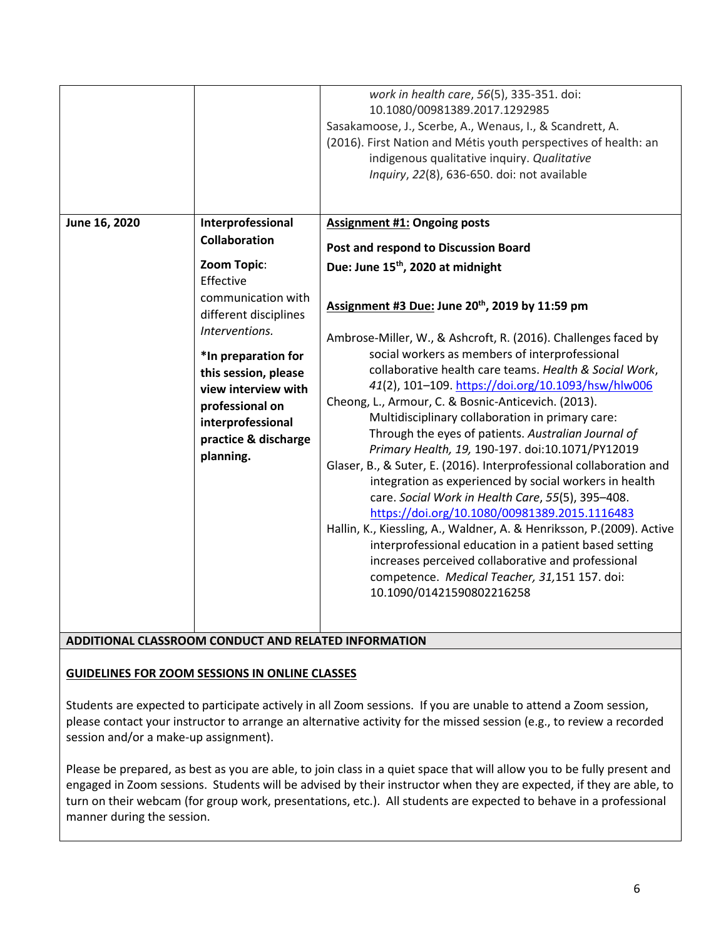| June 16, 2020 | Interprofessional<br><b>Collaboration</b>                                                                                                                                                                                                    | work in health care, 56(5), 335-351. doi:<br>10.1080/00981389.2017.1292985<br>Sasakamoose, J., Scerbe, A., Wenaus, I., & Scandrett, A.<br>(2016). First Nation and Métis youth perspectives of health: an<br>indigenous qualitative inquiry. Qualitative<br>Inquiry, 22(8), 636-650. doi: not available<br><b>Assignment #1: Ongoing posts</b><br>Post and respond to Discussion Board                                                                                                                                                                                                                                                                                                                                                                                                                                                                                                                                                                                                                                                                                               |
|---------------|----------------------------------------------------------------------------------------------------------------------------------------------------------------------------------------------------------------------------------------------|--------------------------------------------------------------------------------------------------------------------------------------------------------------------------------------------------------------------------------------------------------------------------------------------------------------------------------------------------------------------------------------------------------------------------------------------------------------------------------------------------------------------------------------------------------------------------------------------------------------------------------------------------------------------------------------------------------------------------------------------------------------------------------------------------------------------------------------------------------------------------------------------------------------------------------------------------------------------------------------------------------------------------------------------------------------------------------------|
|               | Zoom Topic:<br>Effective<br>communication with<br>different disciplines<br>Interventions.<br>*In preparation for<br>this session, please<br>view interview with<br>professional on<br>interprofessional<br>practice & discharge<br>planning. | Due: June 15 <sup>th</sup> , 2020 at midnight<br>Assignment #3 Due: June 20 <sup>th</sup> , 2019 by 11:59 pm<br>Ambrose-Miller, W., & Ashcroft, R. (2016). Challenges faced by<br>social workers as members of interprofessional<br>collaborative health care teams. Health & Social Work,<br>41(2), 101-109. https://doi.org/10.1093/hsw/hlw006<br>Cheong, L., Armour, C. & Bosnic-Anticevich. (2013).<br>Multidisciplinary collaboration in primary care:<br>Through the eyes of patients. Australian Journal of<br>Primary Health, 19, 190-197. doi:10.1071/PY12019<br>Glaser, B., & Suter, E. (2016). Interprofessional collaboration and<br>integration as experienced by social workers in health<br>care. Social Work in Health Care, 55(5), 395-408.<br>https://doi.org/10.1080/00981389.2015.1116483<br>Hallin, K., Kiessling, A., Waldner, A. & Henriksson, P.(2009). Active<br>interprofessional education in a patient based setting<br>increases perceived collaborative and professional<br>competence. Medical Teacher, 31,151 157. doi:<br>10.1090/01421590802216258 |

## **ADDITIONAL CLASSROOM CONDUCT AND RELATED INFORMATION**

#### **GUIDELINES FOR ZOOM SESSIONS IN ONLINE CLASSES**

Students are expected to participate actively in all Zoom sessions. If you are unable to attend a Zoom session, please contact your instructor to arrange an alternative activity for the missed session (e.g., to review a recorded session and/or a make-up assignment).

Please be prepared, as best as you are able, to join class in a quiet space that will allow you to be fully present and engaged in Zoom sessions. Students will be advised by their instructor when they are expected, if they are able, to turn on their webcam (for group work, presentations, etc.). All students are expected to behave in a professional manner during the session.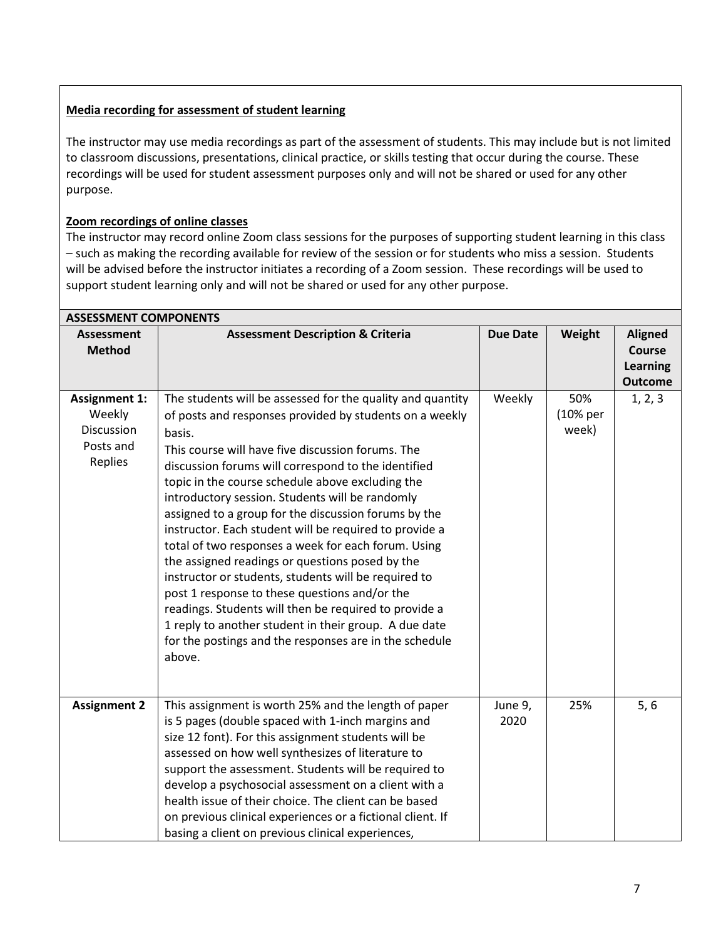## **Media recording for assessment of student learning**

The instructor may use media recordings as part of the assessment of students. This may include but is not limited to classroom discussions, presentations, clinical practice, or skills testing that occur during the course. These recordings will be used for student assessment purposes only and will not be shared or used for any other purpose.

# **Zoom recordings of online classes**

The instructor may record online Zoom class sessions for the purposes of supporting student learning in this class – such as making the recording available for review of the session or for students who miss a session. Students will be advised before the instructor initiates a recording of a Zoom session. These recordings will be used to support student learning only and will not be shared or used for any other purpose.

| <b>ASSESSMENT COMPONENTS</b>                                         |                                                                                                                                                                                                                                                                                                                                                                                                                                                                                                                                                                                                                                                                                                                                                                                                                                                                               |                 |                          |                                                                      |  |  |
|----------------------------------------------------------------------|-------------------------------------------------------------------------------------------------------------------------------------------------------------------------------------------------------------------------------------------------------------------------------------------------------------------------------------------------------------------------------------------------------------------------------------------------------------------------------------------------------------------------------------------------------------------------------------------------------------------------------------------------------------------------------------------------------------------------------------------------------------------------------------------------------------------------------------------------------------------------------|-----------------|--------------------------|----------------------------------------------------------------------|--|--|
| <b>Assessment</b><br><b>Method</b>                                   | <b>Assessment Description &amp; Criteria</b>                                                                                                                                                                                                                                                                                                                                                                                                                                                                                                                                                                                                                                                                                                                                                                                                                                  | <b>Due Date</b> | Weight                   | <b>Aligned</b><br><b>Course</b><br><b>Learning</b><br><b>Outcome</b> |  |  |
| <b>Assignment 1:</b><br>Weekly<br>Discussion<br>Posts and<br>Replies | The students will be assessed for the quality and quantity<br>of posts and responses provided by students on a weekly<br>basis.<br>This course will have five discussion forums. The<br>discussion forums will correspond to the identified<br>topic in the course schedule above excluding the<br>introductory session. Students will be randomly<br>assigned to a group for the discussion forums by the<br>instructor. Each student will be required to provide a<br>total of two responses a week for each forum. Using<br>the assigned readings or questions posed by the<br>instructor or students, students will be required to<br>post 1 response to these questions and/or the<br>readings. Students will then be required to provide a<br>1 reply to another student in their group. A due date<br>for the postings and the responses are in the schedule<br>above. | Weekly          | 50%<br>(10% per<br>week) | 1, 2, 3                                                              |  |  |
| <b>Assignment 2</b>                                                  | This assignment is worth 25% and the length of paper<br>is 5 pages (double spaced with 1-inch margins and<br>size 12 font). For this assignment students will be<br>assessed on how well synthesizes of literature to<br>support the assessment. Students will be required to<br>develop a psychosocial assessment on a client with a<br>health issue of their choice. The client can be based<br>on previous clinical experiences or a fictional client. If<br>basing a client on previous clinical experiences,                                                                                                                                                                                                                                                                                                                                                             | June 9,<br>2020 | 25%                      | 5, 6                                                                 |  |  |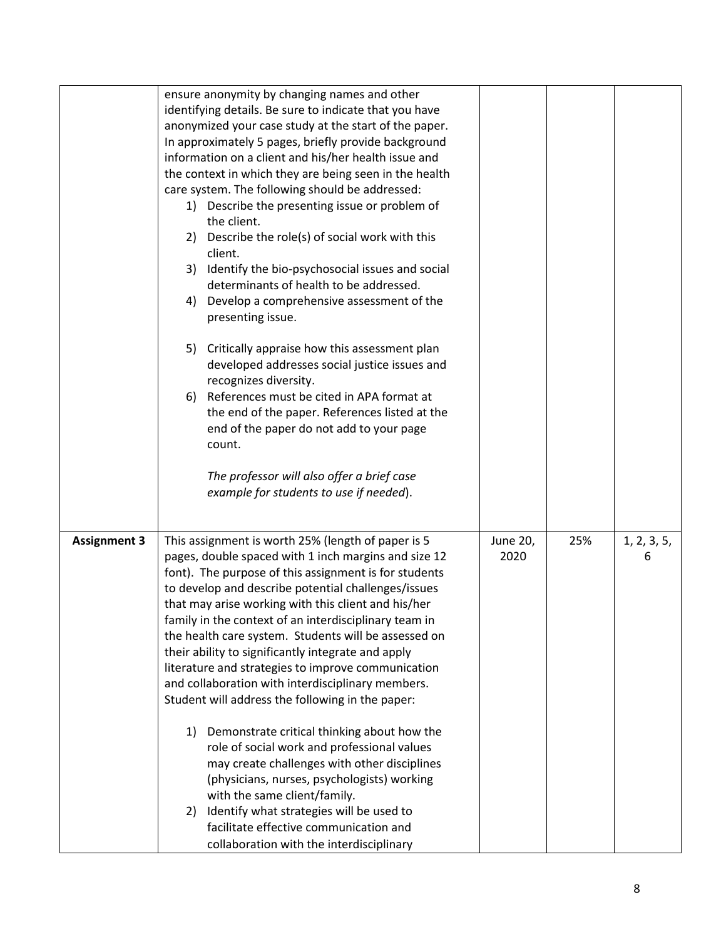|                     | ensure anonymity by changing names and other<br>identifying details. Be sure to indicate that you have<br>anonymized your case study at the start of the paper.<br>In approximately 5 pages, briefly provide background<br>information on a client and his/her health issue and<br>the context in which they are being seen in the health<br>care system. The following should be addressed:<br>Describe the presenting issue or problem of<br>1)<br>the client.<br>Describe the role(s) of social work with this<br>2)<br>client.<br>Identify the bio-psychosocial issues and social<br>3)<br>determinants of health to be addressed.<br>Develop a comprehensive assessment of the<br>4)<br>presenting issue.<br>5)<br>Critically appraise how this assessment plan<br>developed addresses social justice issues and<br>recognizes diversity.<br>References must be cited in APA format at<br>6)<br>the end of the paper. References listed at the<br>end of the paper do not add to your page<br>count.<br>The professor will also offer a brief case<br>example for students to use if needed). |                  |     |                  |
|---------------------|----------------------------------------------------------------------------------------------------------------------------------------------------------------------------------------------------------------------------------------------------------------------------------------------------------------------------------------------------------------------------------------------------------------------------------------------------------------------------------------------------------------------------------------------------------------------------------------------------------------------------------------------------------------------------------------------------------------------------------------------------------------------------------------------------------------------------------------------------------------------------------------------------------------------------------------------------------------------------------------------------------------------------------------------------------------------------------------------------|------------------|-----|------------------|
| <b>Assignment 3</b> | This assignment is worth 25% (length of paper is 5<br>pages, double spaced with 1 inch margins and size 12<br>font). The purpose of this assignment is for students<br>to develop and describe potential challenges/issues<br>that may arise working with this client and his/her<br>family in the context of an interdisciplinary team in<br>the health care system. Students will be assessed on<br>their ability to significantly integrate and apply<br>literature and strategies to improve communication<br>and collaboration with interdisciplinary members.<br>Student will address the following in the paper:<br>Demonstrate critical thinking about how the<br>1)<br>role of social work and professional values<br>may create challenges with other disciplines<br>(physicians, nurses, psychologists) working<br>with the same client/family.<br>Identify what strategies will be used to<br>2)<br>facilitate effective communication and<br>collaboration with the interdisciplinary                                                                                                 | June 20,<br>2020 | 25% | 1, 2, 3, 5,<br>6 |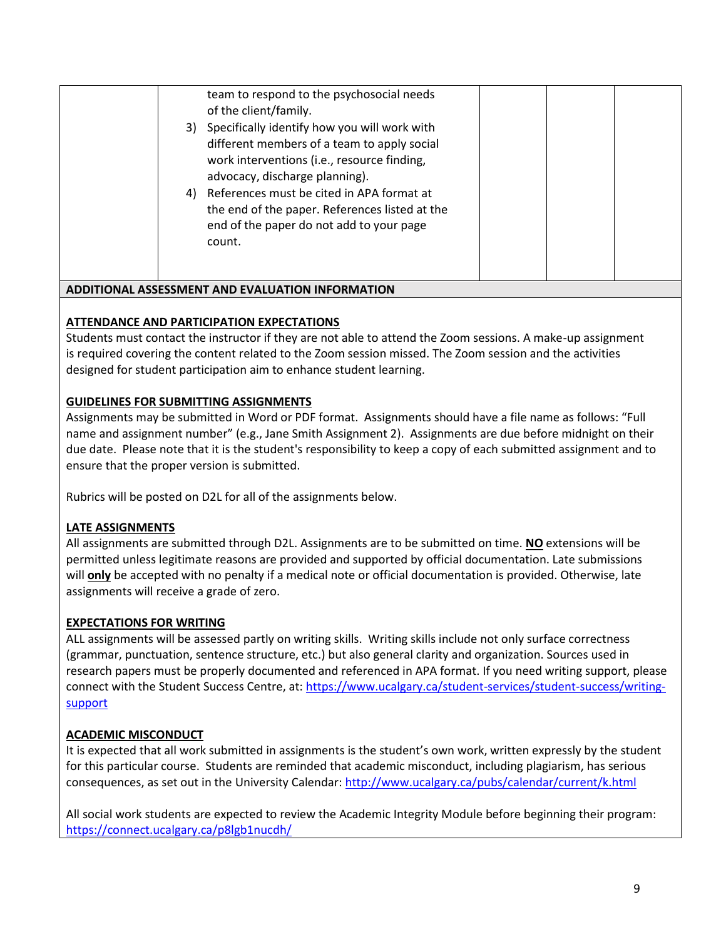| team to respond to the psychosocial needs<br>of the client/family.<br>3) Specifically identify how you will work with<br>different members of a team to apply social<br>work interventions (i.e., resource finding,<br>advocacy, discharge planning).<br>4) References must be cited in APA format at<br>the end of the paper. References listed at the<br>end of the paper do not add to your page<br>count. |  |  |
|---------------------------------------------------------------------------------------------------------------------------------------------------------------------------------------------------------------------------------------------------------------------------------------------------------------------------------------------------------------------------------------------------------------|--|--|
| <b>ADDITIONAL ASSESSMENT AND EVALUATION INFORMATION</b>                                                                                                                                                                                                                                                                                                                                                       |  |  |

### **ATTENDANCE AND PARTICIPATION EXPECTATIONS**

Students must contact the instructor if they are not able to attend the Zoom sessions. A make-up assignment is required covering the content related to the Zoom session missed. The Zoom session and the activities designed for student participation aim to enhance student learning.

#### **GUIDELINES FOR SUBMITTING ASSIGNMENTS**

Assignments may be submitted in Word or PDF format. Assignments should have a file name as follows: "Full name and assignment number" (e.g., Jane Smith Assignment 2). Assignments are due before midnight on their due date. Please note that it is the student's responsibility to keep a copy of each submitted assignment and to ensure that the proper version is submitted.

Rubrics will be posted on D2L for all of the assignments below.

#### **LATE ASSIGNMENTS**

All assignments are submitted through D2L. Assignments are to be submitted on time. **NO** extensions will be permitted unless legitimate reasons are provided and supported by official documentation. Late submissions will **only** be accepted with no penalty if a medical note or official documentation is provided. Otherwise, late assignments will receive a grade of zero.

#### **EXPECTATIONS FOR WRITING**

ALL assignments will be assessed partly on writing skills. Writing skills include not only surface correctness (grammar, punctuation, sentence structure, etc.) but also general clarity and organization. Sources used in research papers must be properly documented and referenced in APA format. If you need writing support, please connect with the Student Success Centre, at: [https://www.ucalgary.ca/student-services/student-success/writing](https://www.ucalgary.ca/student-services/student-success/writing-support)[support](https://www.ucalgary.ca/student-services/student-success/writing-support)

#### **ACADEMIC MISCONDUCT**

It is expected that all work submitted in assignments is the student's own work, written expressly by the student for this particular course. Students are reminded that academic misconduct, including plagiarism, has serious consequences, as set out in the University Calendar:<http://www.ucalgary.ca/pubs/calendar/current/k.html>

All social work students are expected to review the Academic Integrity Module before beginning their program: <https://connect.ucalgary.ca/p8lgb1nucdh/>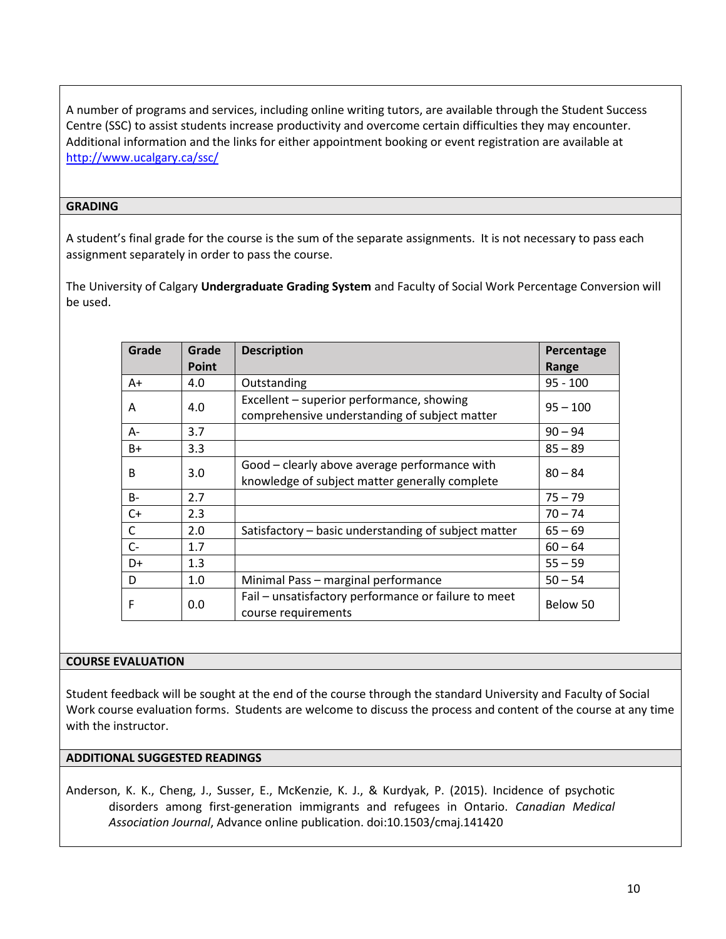A number of programs and services, including online writing tutors, are available through the Student Success Centre (SSC) to assist students increase productivity and overcome certain difficulties they may encounter. Additional information and the links for either appointment booking or event registration are available at <http://www.ucalgary.ca/ssc/>

#### **GRADING**

A student's final grade for the course is the sum of the separate assignments. It is not necessary to pass each assignment separately in order to pass the course.

The University of Calgary **Undergraduate Grading System** and Faculty of Social Work Percentage Conversion will be used.

| Grade | Grade        | <b>Description</b>                                   | Percentage |
|-------|--------------|------------------------------------------------------|------------|
|       | <b>Point</b> |                                                      | Range      |
| $A+$  | 4.0          | Outstanding                                          | $95 - 100$ |
| Α     | 4.0          | Excellent – superior performance, showing            | $95 - 100$ |
|       |              | comprehensive understanding of subject matter        |            |
| А-    | 3.7          |                                                      | $90 - 94$  |
| $B+$  | 3.3          |                                                      | $85 - 89$  |
| B     | 3.0          | Good - clearly above average performance with        | $80 - 84$  |
|       |              | knowledge of subject matter generally complete       |            |
| $B -$ | 2.7          |                                                      | $75 - 79$  |
| $C+$  | 2.3          |                                                      | $70 - 74$  |
| С     | 2.0          | Satisfactory – basic understanding of subject matter | $65 - 69$  |
| $C -$ | 1.7          |                                                      | $60 - 64$  |
| D+    | 1.3          |                                                      | $55 - 59$  |
| D     | 1.0          | Minimal Pass - marginal performance                  | $50 - 54$  |
| F     | 0.0          | Fail - unsatisfactory performance or failure to meet | Below 50   |
|       |              | course requirements                                  |            |

#### **COURSE EVALUATION**

Student feedback will be sought at the end of the course through the standard University and Faculty of Social Work course evaluation forms. Students are welcome to discuss the process and content of the course at any time with the instructor.

#### **ADDITIONAL SUGGESTED READINGS**

Anderson, K. K., Cheng, J., Susser, E., McKenzie, K. J., & Kurdyak, P. (2015). Incidence of psychotic disorders among first-generation immigrants and refugees in Ontario. *Canadian Medical Association Journal*, Advance online publication. doi:10.1503/cmaj.141420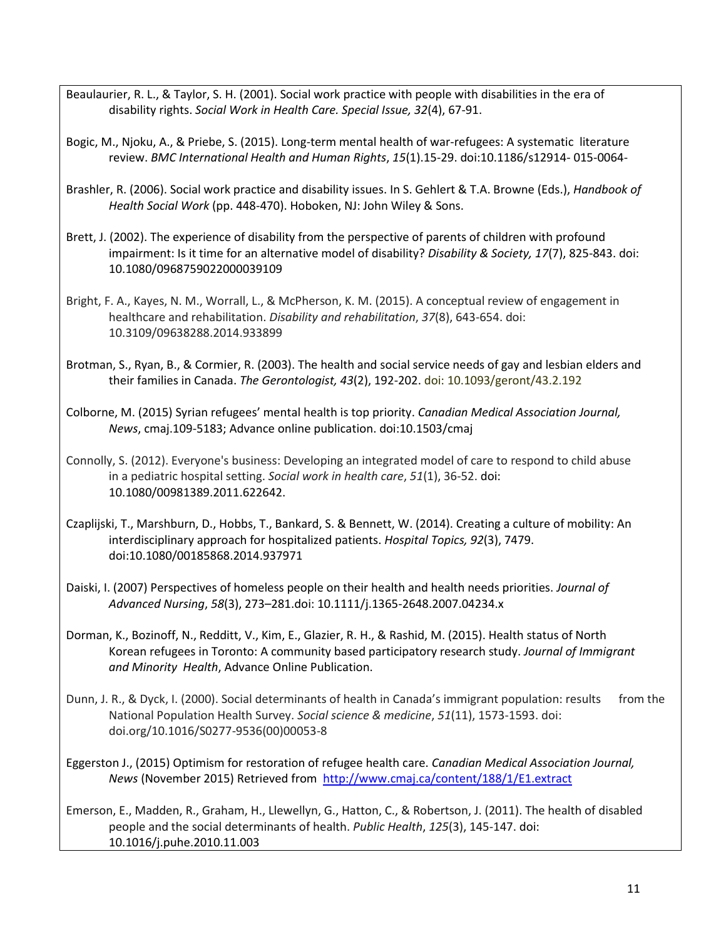- Beaulaurier, R. L., & Taylor, S. H. (2001). Social work practice with people with disabilities in the era of disability rights. *Social Work in Health Care. Special Issue, 32*(4), 67-91.
- Bogic, M., Njoku, A., & Priebe, S. (2015). Long-term mental health of war-refugees: A systematic literature review. *BMC International Health and Human Rights*, *15*(1).15-29. doi:10.1186/s12914- 015-0064-
- Brashler, R. (2006). Social work practice and disability issues. In S. Gehlert & T.A. Browne (Eds.), *Handbook of Health Social Work* (pp. 448-470). Hoboken, NJ: John Wiley & Sons.
- Brett, J. (2002). The experience of disability from the perspective of parents of children with profound impairment: Is it time for an alternative model of disability? *Disability & Society, 17*(7), 825-843. doi: 10.1080/0968759022000039109
- Bright, F. A., Kayes, N. M., Worrall, L., & McPherson, K. M. (2015). A conceptual review of engagement in healthcare and rehabilitation. *Disability and rehabilitation*, *37*(8), 643-654. doi: 10.3109/09638288.2014.933899
- Brotman, S., Ryan, B., & Cormier, R. (2003). The health and social service needs of gay and lesbian elders and their families in Canada. *The Gerontologist, 43*(2), 192-202. doi: 10.1093/geront/43.2.192
- Colborne, M. (2015) Syrian refugees' mental health is top priority. *Canadian Medical Association Journal, News*, cmaj.109-5183; Advance online publication. doi:10.1503/cmaj
- Connolly, S. (2012). Everyone's business: Developing an integrated model of care to respond to child abuse in a pediatric hospital setting. *Social work in health care*, *51*(1), 36-52. doi: 10.1080/00981389.2011.622642.
- Czaplijski, T., Marshburn, D., Hobbs, T., Bankard, S. & Bennett, W. (2014). Creating a culture of mobility: An interdisciplinary approach for hospitalized patients. *Hospital Topics, 92*(3), 7479. doi:10.1080/00185868.2014.937971
- Daiski, I. (2007) Perspectives of homeless people on their health and health needs priorities. *Journal of Advanced Nursing*, *58*(3), 273–281.doi: 10.1111/j.1365-2648.2007.04234.x
- Dorman, K., Bozinoff, N., Redditt, V., Kim, E., Glazier, R. H., & Rashid, M. (2015). Health status of North Korean refugees in Toronto: A community based participatory research study. *Journal of Immigrant and Minority Health*, Advance Online Publication.
- Dunn, J. R., & Dyck, I. (2000). Social determinants of health in Canada's immigrant population: results from the National Population Health Survey. *Social science & medicine*, *51*(11), 1573-1593. doi: doi.org/10.1016/S0277-9536(00)00053-8
- Eggerston J., (2015) Optimism for restoration of refugee health care. *Canadian Medical Association Journal, News* (November 2015) Retrieved from <http://www.cmaj.ca/content/188/1/E1.extract>
- Emerson, E., Madden, R., Graham, H., Llewellyn, G., Hatton, C., & Robertson, J. (2011). The health of disabled people and the social determinants of health. *Public Health*, *125*(3), 145-147. doi: 10.1016/j.puhe.2010.11.003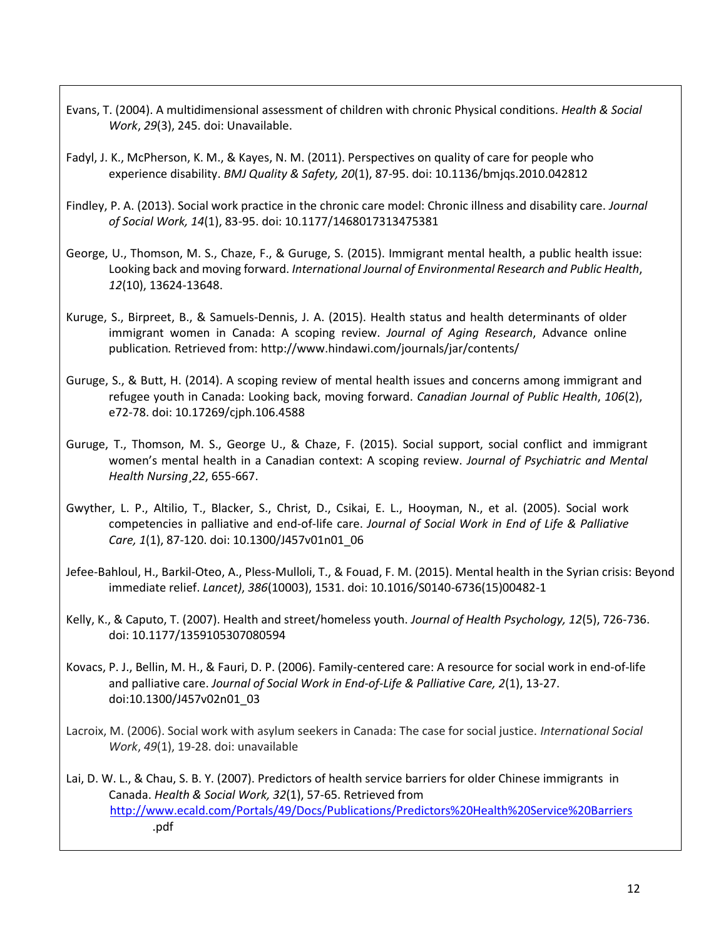- Evans, T. (2004). A multidimensional assessment of children with chronic Physical conditions. *Health & Social Work*, *29*(3), 245. doi: Unavailable.
- Fadyl, J. K., McPherson, K. M., & Kayes, N. M. (2011). Perspectives on quality of care for people who experience disability. *BMJ Quality & Safety, 20*(1), 87-95. doi: 10.1136/bmjqs.2010.042812
- Findley, P. A. (2013). Social work practice in the chronic care model: Chronic illness and disability care. *Journal of Social Work, 14*(1), 83-95. doi: 10.1177/1468017313475381
- George, U., Thomson, M. S., Chaze, F., & Guruge, S. (2015). Immigrant mental health, a public health issue: Looking back and moving forward. *International Journal of Environmental Research and Public Health*, *12*(10), 13624-13648.
- Kuruge, S., Birpreet, B., & Samuels-Dennis, J. A. (2015). Health status and health determinants of older immigrant women in Canada: A scoping review. *Journal of Aging Research*, Advance online publication*.* Retrieved fr[om: http://www.hindawi.com/journals/jar/contents/](http://www.hindawi.com/journals/jar/contents/)
- Guruge, S., & Butt, H. (2014). A scoping review of mental health issues and concerns among immigrant and refugee youth in Canada: Looking back, moving forward. *Canadian Journal of Public Health*, *106*(2), e72-78. doi: 10.17269/cjph.106.4588
- Guruge, T., Thomson, M. S., George U., & Chaze, F. (2015). Social support, social conflict and immigrant women's mental health in a Canadian context: A scoping review. *Journal of Psychiatric and Mental Health Nursing*¸*22*, 655-667.
- Gwyther, L. P., Altilio, T., Blacker, S., Christ, D., Csikai, E. L., Hooyman, N., et al. (2005). Social work competencies in palliative and end-of-life care. *Journal of Social Work in End of Life & Palliative Care, 1*(1), 87-120. doi: 10.1300/J457v01n01\_06
- Jefee-Bahloul, H., Barkil-Oteo, A., Pless-Mulloli, T., & Fouad, F. M. (2015). Mental health in the Syrian crisis: Beyond immediate relief. *Lancet)*, *386*(10003), 1531. doi: 10.1016/S0140-6736(15)00482-1
- Kelly, K., & Caputo, T. (2007). Health and street/homeless youth. *Journal of Health Psychology, 12*(5), 726-736. doi: 10.1177/1359105307080594
- Kovacs, P. J., Bellin, M. H., & Fauri, D. P. (2006). Family-centered care: A resource for social work in end-of-life and palliative care. *Journal of Social Work in End-of-Life & Palliative Care, 2*(1), 13-27. doi:10.1300/J457v02n01\_03
- Lacroix, M. (2006). Social work with asylum seekers in Canada: The case for social justice. *International Social Work*, *49*(1), 19-28. doi: unavailable
- Lai, D. W. L., & Chau, S. B. Y. (2007). Predictors of health service barriers for older Chinese immigrants in Canada. *Health & Social Work, 32*(1), 57-65. Retrieved from <http://www.ecald.com/Portals/49/Docs/Publications/Predictors%20Health%20Service%20Barriers> .pdf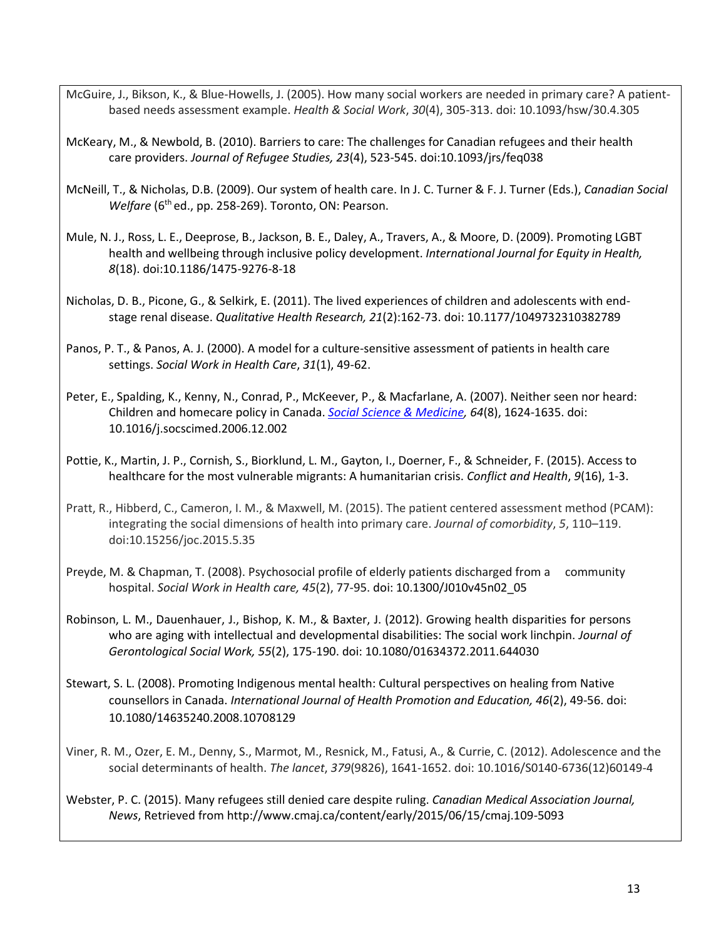- McGuire, J., Bikson, K., & Blue-Howells, J. (2005). How many social workers are needed in primary care? A patientbased needs assessment example. *Health & Social Work*, *30*(4), 305-313. doi: 10.1093/hsw/30.4.305
- McKeary, M., & Newbold, B. (2010). Barriers to care: The challenges for Canadian refugees and their health care providers. *Journal of Refugee Studies, 23*(4), 523-545. doi:10.1093/jrs/feq038
- McNeill, T., & Nicholas, D.B. (2009). Our system of health care. In J. C. Turner & F. J. Turner (Eds.), *Canadian Social Welfare* (6<sup>th</sup> ed., pp. 258-269). Toronto, ON: Pearson.
- Mule, N. J., Ross, L. E., Deeprose, B., Jackson, B. E., Daley, A., Travers, A., & Moore, D. (2009). Promoting LGBT health and wellbeing through inclusive policy development. *International Journal for Equity in Health, 8*(18). doi:10.1186/1475-9276-8-18
- Nicholas, D. B., Picone, G., & Selkirk, E. (2011). The lived experiences of children and adolescents with endstage renal disease. *Qualitative Health Research, 21*(2):162-73. doi: 10.1177/1049732310382789
- Panos, P. T., & Panos, A. J. (2000). A model for a culture-sensitive assessment of patients in health care settings. *Social Work in Health Care*, *31*(1), 49-62.
- Peter, E., Spalding, K., Kenny, N., Conrad, P., McKeever, P., & Macfarlane, A. (2007). Neither seen nor heard: Children and homecare policy in Canada. *[Social Science & Medicine,](http://www.sciencedirect.com/science/journal/02779536) [64](http://www.sciencedirect.com/science/journal/02779536)*(8), 1624-1635. doi: 10.1016/j.socscimed.2006.12.002
- Pottie, K., Martin, J. P., Cornish, S., Biorklund, L. M., Gayton, I., Doerner, F., & Schneider, F. (2015). Access to healthcare for the most vulnerable migrants: A humanitarian crisis. *Conflict and Health*, *9*(16), 1-3.
- Pratt, R., Hibberd, C., Cameron, I. M., & Maxwell, M. (2015). The patient centered assessment method (PCAM): integrating the social dimensions of health into primary care. *Journal of comorbidity*, *5*, 110–119. doi:10.15256/joc.2015.5.35
- Preyde, M. & Chapman, T. (2008). Psychosocial profile of elderly patients discharged from a community hospital. *Social Work in Health care, 45*(2), 77-95. doi: 10.1300/J010v45n02\_05
- Robinson, L. M., Dauenhauer, J., Bishop, K. M., & Baxter, J. (2012). Growing health disparities for persons who are aging with intellectual and developmental disabilities: The social work linchpin. *Journal of Gerontological Social Work, 55*(2), 175-190. doi: 10.1080/01634372.2011.644030
- Stewart, S. L. (2008). Promoting Indigenous mental health: Cultural perspectives on healing from Native counsellors in Canada. *International Journal of Health Promotion and Education, 46*(2), 49-56. doi: 10.1080/14635240.2008.10708129
- Viner, R. M., Ozer, E. M., Denny, S., Marmot, M., Resnick, M., Fatusi, A., & Currie, C. (2012). Adolescence and the social determinants of health. *The lancet*, *379*(9826), 1641-1652. doi: 10.1016/S0140-6736(12)60149-4
- Webster, P. C. (2015). Many refugees still denied care despite ruling. *Canadian Medical Association Journal, News*, Retrieved fr[om http://www.cmaj.ca/content/early/2015/06/15/cmaj.109-5093](http://www.cmaj.ca/content/early/2015/06/15/cmaj.109-5093)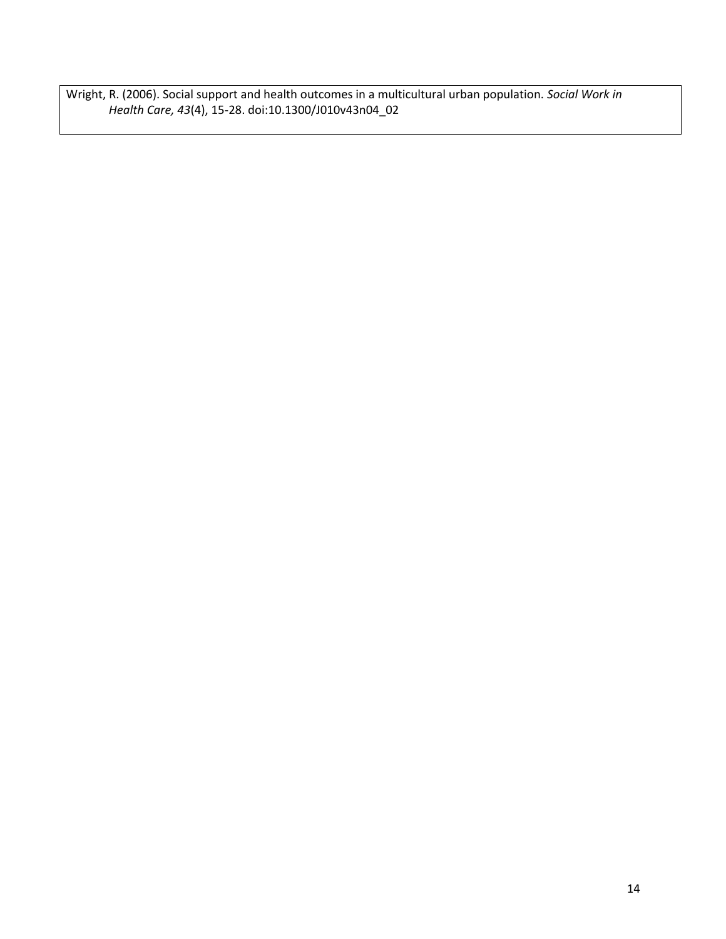Wright, R. (2006). Social support and health outcomes in a multicultural urban population. *Social Work in Health Care, 43*(4), 15-28. doi:10.1300/J010v43n04\_02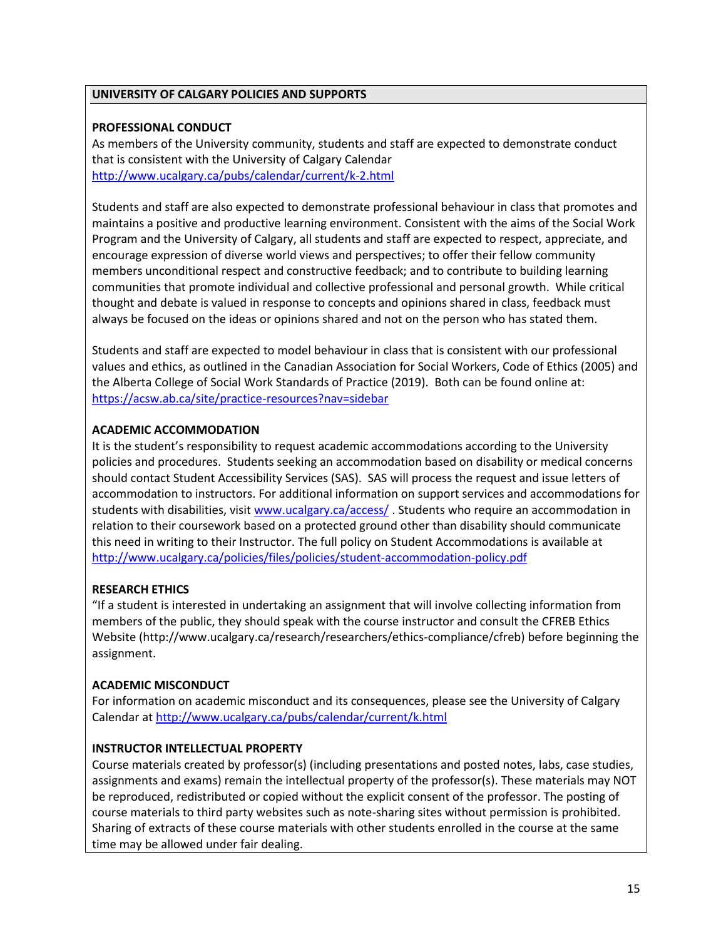## **UNIVERSITY OF CALGARY POLICIES AND SUPPORTS**

### **PROFESSIONAL CONDUCT**

As members of the University community, students and staff are expected to demonstrate conduct that is consistent with the University of Calgary Calendar <http://www.ucalgary.ca/pubs/calendar/current/k-2.html>

Students and staff are also expected to demonstrate professional behaviour in class that promotes and maintains a positive and productive learning environment. Consistent with the aims of the Social Work Program and the University of Calgary, all students and staff are expected to respect, appreciate, and encourage expression of diverse world views and perspectives; to offer their fellow community members unconditional respect and constructive feedback; and to contribute to building learning communities that promote individual and collective professional and personal growth. While critical thought and debate is valued in response to concepts and opinions shared in class, feedback must always be focused on the ideas or opinions shared and not on the person who has stated them.

Students and staff are expected to model behaviour in class that is consistent with our professional values and ethics, as outlined in the Canadian Association for Social Workers, Code of Ethics (2005) and the Alberta College of Social Work Standards of Practice (2019). Both can be found online at: <https://acsw.ab.ca/site/practice-resources?nav=sidebar>

## **ACADEMIC ACCOMMODATION**

It is the student's responsibility to request academic accommodations according to the University policies and procedures. Students seeking an accommodation based on disability or medical concerns should contact Student Accessibility Services (SAS). SAS will process the request and issue letters of accommodation to instructors. For additional information on support services and accommodations for students with disabilities, visit [www.ucalgary.ca/access/](http://www.ucalgary.ca/access/) . Students who require an accommodation in relation to their coursework based on a protected ground other than disability should communicate this need in writing to their Instructor. The full policy on Student Accommodations is available at <http://www.ucalgary.ca/policies/files/policies/student-accommodation-policy.pdf>

## **RESEARCH ETHICS**

"If a student is interested in undertaking an assignment that will involve collecting information from members of the public, they should speak with the course instructor and consult the CFREB Ethics Website [\(http://www.ucalgary.ca/research/researchers/ethics-compliance/cfreb\)](http://www.ucalgary.ca/research/researchers/ethics-compliance/cfreb) before beginning the assignment.

## **ACADEMIC MISCONDUCT**

For information on academic misconduct and its consequences, please see the University of Calgary Calendar a[t http://www.ucalgary.ca/pubs/calendar/current/k.html](http://www.ucalgary.ca/pubs/calendar/current/k.html)

## **INSTRUCTOR INTELLECTUAL PROPERTY**

Course materials created by professor(s) (including presentations and posted notes, labs, case studies, assignments and exams) remain the intellectual property of the professor(s). These materials may NOT be reproduced, redistributed or copied without the explicit consent of the professor. The posting of course materials to third party websites such as note-sharing sites without permission is prohibited. Sharing of extracts of these course materials with other students enrolled in the course at the same time may be allowed under fair dealing.